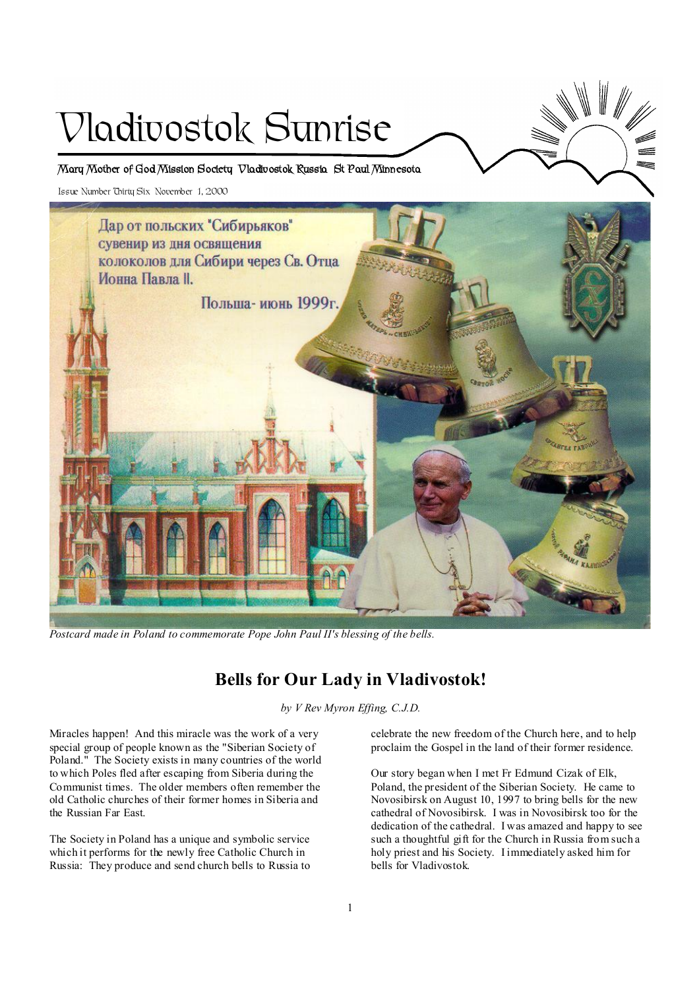# Vladivostok Sunrise

**Mary Mother of God Mission Society Vladivostok Russia St Paul Minnesota** 

Issue Number Thirty Six November 1, 2000



*Postcard made in Poland to commemorate Pope John Paul II's blessing of the bells.* 

# **Bells for Our Lady in Vladivostok!**

*by V Rev Myron Effing, C.J.D.* 

Miracles happen! And this miracle was the work of a very special group of people known as the "Siberian Society of Poland." The Society exists in many countries of the world to which Poles fled after escaping from Siberia during the Communist times. The older members often remember the old Catholic churches of their former homes in Siberia and the Russian Far East.

The Society in Poland has a unique and symbolic service which it performs for the newly free Catholic Church in Russia: They produce and send church bells to Russia to celebrate the new freedom of the Church here, and to help proclaim the Gospel in the land of their former residence.

Our story began when I met Fr Edmund Cizak of Elk, Poland, the president of the Siberian Society. He came to Novosibirsk on August 10, 1997 to bring bells for the new cathedral of Novosibirsk. I was in Novosibirsk too for the dedication of the cathedral. I was amazed and happy to see such a thoughtful gift for the Church in Russia from such a holy priest and his Society. I immediately asked him for bells for Vladivostok.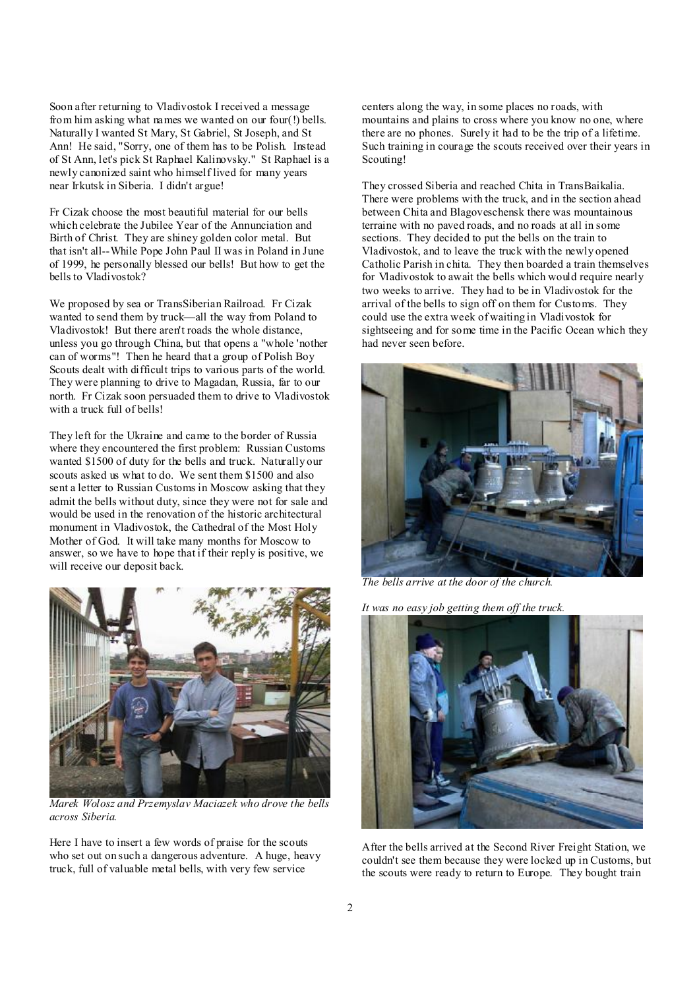Soon after returning to Vladivostok I received a message from him asking what names we wanted on our four(!) bells. Naturally I wanted St Mary, St Gabriel, St Joseph, and St Ann! He said, "Sorry, one of them has to be Polish. Instead of St Ann, let's pick St Raphael Kalinovsky." St Raphael is a newly canonized saint who himself lived for many years near Irkutsk in Siberia. I didn't argue!

Fr Cizak choose the most beautiful material for our bells which celebrate the Jubilee Year of the Annunciation and Birth of Christ. They are shiney golden color metal. But that isn't all--While Pope John Paul II was in Poland in June of 1999, he personally blessed our bells! But how to get the bells to Vladivostok?

We proposed by sea or TransSiberian Railroad. Fr Cizak wanted to send them by truck—all the way from Poland to Vladivostok! But there aren't roads the whole distance, unless you go through China, but that opens a "whole 'nother can of worms"! Then he heard that a group of Polish Boy Scouts dealt with difficult trips to various parts of the world. They were planning to drive to Magadan, Russia, far to our north. Fr Cizak soon persuaded them to drive to Vladivostok with a truck full of bells!

They left for the Ukraine and came to the border of Russia where they encountered the first problem: Russian Customs wanted \$1500 of duty for the bells and truck. Naturally our scouts asked us what to do. We sent them \$1500 and also sent a letter to Russian Customs in Moscow asking that they admit the bells without duty, since they were not for sale and would be used in the renovation of the historic architectural monument in Vladivostok, the Cathedral of the Most Holy Mother of God. It will take many months for Moscow to answer, so we have to hope that if their reply is positive, we will receive our deposit back.



*Marek Wolosz and Przemyslav Maciazek who drove the bells across Siberia.* 

Here I have to insert a few words of praise for the scouts who set out on such a dangerous adventure. A huge, heavy truck, full of valuable metal bells, with very few service

centers along the way, in some places no roads, with mountains and plains to cross where you know no one, where there are no phones. Surely it had to be the trip of a lifetime. Such training in courage the scouts received over their years in Scouting!

They crossed Siberia and reached Chita in TransBaikalia. There were problems with the truck, and in the section ahead between Chita and Blagoveschensk there was mountainous terraine with no paved roads, and no roads at all in some sections. They decided to put the bells on the train to Vladivostok, and to leave the truck with the newly opened Catholic Parish in chita. They then boarded a train themselves for Vladivostok to await the bells which would require nearly two weeks to arrive. They had to be in Vladivostok for the arrival of the bells to sign off on them for Customs. They could use the extra week of waiting in Vladivostok for sightseeing and for some time in the Pacific Ocean which they had never seen before.



*The bells arrive at the door of the church.* 

*It was no easy job getting them off the truck.* 



After the bells arrived at the Second River Freight Station, we couldn't see them because they were locked up in Customs, but the scouts were ready to return to Europe. They bought train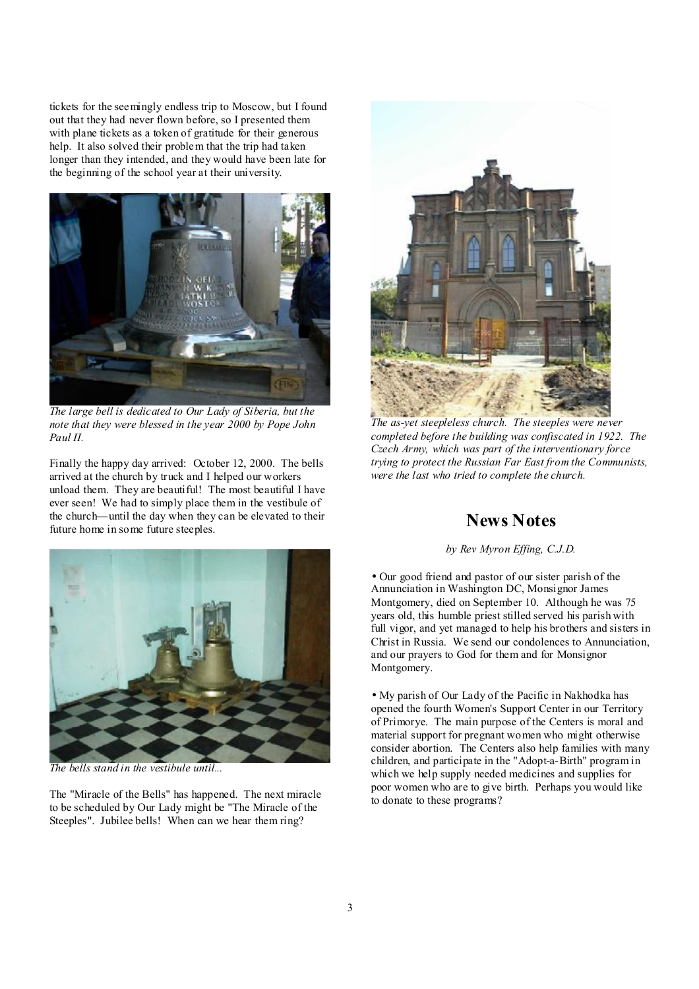tickets for the seemingly endless trip to Moscow, but I found out that they had never flown before, so I presented them with plane tickets as a token of gratitude for their generous help. It also solved their problem that the trip had taken longer than they intended, and they would have been late for the beginning of the school year at their university.



*The large bell is dedicated to Our Lady of Siberia, but the note that they were blessed in the year 2000 by Pope John Paul II.* 

Finally the happy day arrived: October 12, 2000. The bells arrived at the church by truck and I helped our workers unload them. They are beautiful! The most beautiful I have ever seen! We had to simply place them in the vestibule of the church—until the day when they can be elevated to their future home in some future steeples.



*The as-yet steepleless church. The steeples were never completed before the building was confiscated in 1922. The Czech Army, which was part of the interventionary force trying to protect the Russian Far East from the Communists, were the last who tried to complete the church.* 

# **News Notes**

#### *by Rev Myron Effing, C.J.D.*

• Our good friend and pastor of our sister parish of the Annunciation in Washington DC, Monsignor James Montgomery, died on September 10. Although he was 75 years old, this humble priest stilled served his parish with full vigor, and yet managed to help his brothers and sisters in Christ in Russia. We send our condolences to Annunciation, and our prayers to God for them and for Monsignor Montgomery.

> • My parish of Our Lady of the Pacific in Nakhodka has opened the fourth Women's Support Center in our Territory of Primorye. The main purpose of the Centers is moral and material support for pregnant women who might otherwise consider abortion. The Centers also help families with many children, and participate in the "Adopt-a-Birth" program in which we help supply needed medicines and supplies for poor women who are to give birth. Perhaps you would like to donate to these programs?



The "Miracle of the Bells" has happened. The next miracle to be scheduled by Our Lady might be "The Miracle of the Steeples". Jubilee bells! When can we hear them ring?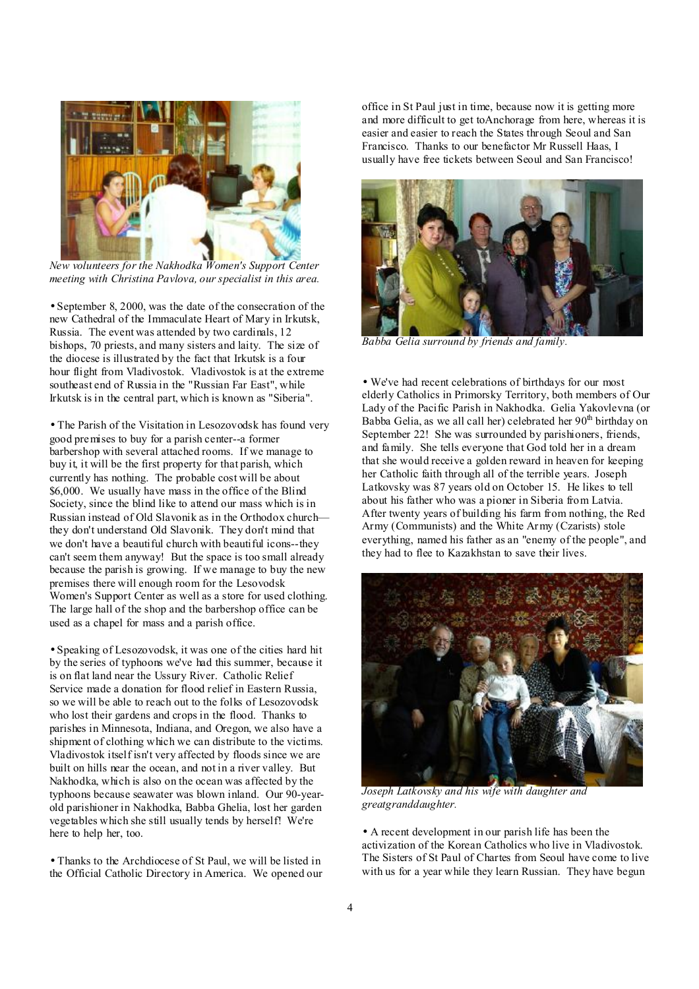

L *New volunteers for the Nakhodka Women's Support Center meeting with Christina Pavlova, our specialist in this area.* 

• September 8, 2000, was the date of the consecration of the new Cathedral of the Immaculate Heart of Mary in Irkutsk, Russia. The event was attended by two cardinals, 12 bishops, 70 priests, and many sisters and laity. The size of the diocese is illustrated by the fact that Irkutsk is a four hour flight from Vladivostok. Vladivostok is at the extreme southeast end of Russia in the "Russian Far East", while Irkutsk is in the central part, which is known as "Siberia".

• The Parish of the Visitation in Lesozovodsk has found very good premises to buy for a parish center--a former barbershop with several attached rooms. If we manage to buy it, it will be the first property for that parish, which currently has nothing. The probable cost will be about \$6,000. We usually have mass in the office of the Blind Society, since the blind like to attend our mass which is in Russian instead of Old Slavonik as in the Orthodox church they don't understand Old Slavonik. They don't mind that we don't have a beautiful church with beautiful icons--they can't seem them anyway! But the space is too small already because the parish is growing. If we manage to buy the new premises there will enough room for the Lesovodsk Women's Support Center as well as a store for used clothing. The large hall of the shop and the barbershop office can be used as a chapel for mass and a parish office.

• Speaking of Lesozovodsk, it was one of the cities hard hit by the series of typhoons we've had this summer, because it is on flat land near the Ussury River. Catholic Relief Service made a donation for flood relief in Eastern Russia, so we will be able to reach out to the folks of Lesozovodsk who lost their gardens and crops in the flood. Thanks to parishes in Minnesota, Indiana, and Oregon, we also have a shipment of clothing which we can distribute to the victims. Vladivostok itself isn't very affected by floods since we are built on hills near the ocean, and not in a river valley. But Nakhodka, which is also on the ocean was affected by the typhoons because seawater was blown inland. Our 90-yearold parishioner in Nakhodka, Babba Ghelia, lost her garden vegetables which she still usually tends by herself! We're here to help her, too.

• Thanks to the Archdiocese of St Paul, we will be listed in the Official Catholic Directory in America. We opened our office in St Paul just in time, because now it is getting more and more difficult to get toAnchorage from here, whereas it is easier and easier to reach the States through Seoul and San Francisco. Thanks to our benefactor Mr Russell Haas, I usually have free tickets between Seoul and San Francisco!



*Babba Gelia surround by friends and family.* 

• We've had recent celebrations of birthdays for our most elderly Catholics in Primorsky Territory, both members of Our Lady of the Pacific Parish in Nakhodka. Gelia Yakovlevna (or Babba Gelia, as we all call her) celebrated her  $90<sup>th</sup>$  birthday on September 22! She was surrounded by parishioners, friends, and family. She tells everyone that God told her in a dream that she would receive a golden reward in heaven for keeping her Catholic faith through all of the terrible years. Joseph Latkovsky was 87 years old on October 15. He likes to tell about his father who was a pioner in Siberia from Latvia. After twenty years of building his farm from nothing, the Red Army (Communists) and the White Army (Czarists) stole everything, named his father as an "enemy of the people", and they had to flee to Kazakhstan to save their lives.



*Joseph Latkovsky and his wife with daughter and greatgranddaughter.* 

• A recent development in our parish life has been the activization of the Korean Catholics who live in Vladivostok. The Sisters of St Paul of Chartes from Seoul have come to live with us for a year while they learn Russian. They have begun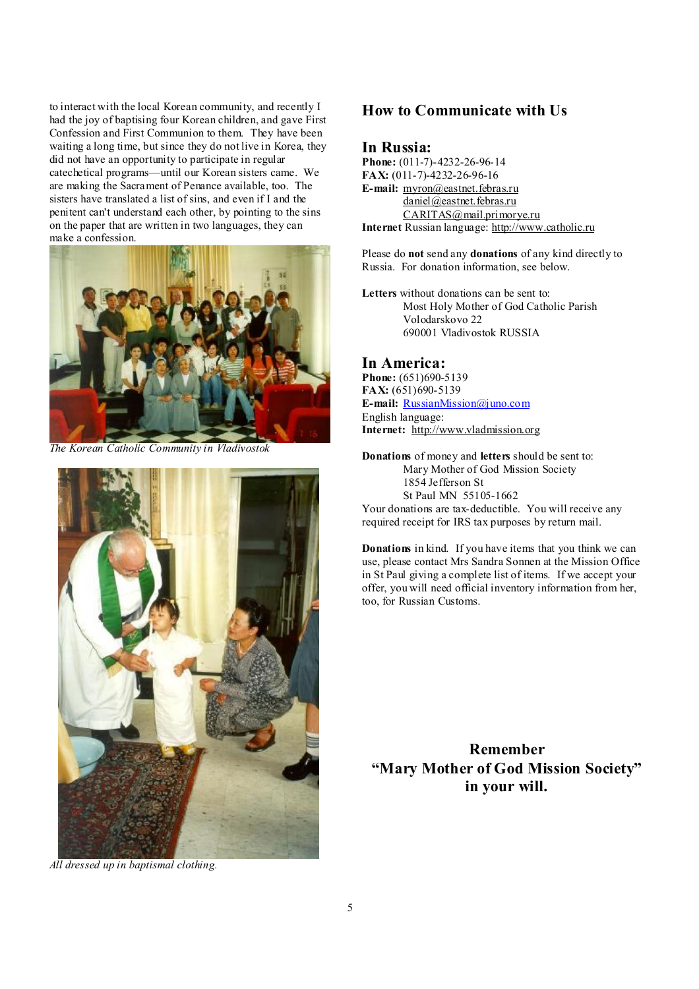to interact with the local Korean community, and recently I had the joy of baptising four Korean children, and gave First Confession and First Communion to them. They have been waiting a long time, but since they do not live in Korea, they did not have an opportunity to participate in regular catechetical programs—until our Korean sisters came. We are making the Sacrament of Penance available, too. The sisters have translated a list of sins, and even if I and the penitent can't understand each other, by pointing to the sins on the paper that are written in two languages, they can make a confession.



*The Korean Catholic Community in Vladivostok* 



*All dressed up in baptismal clothing.* 

## **How to Communicate with Us**

#### **In Russia:**

**Phone:** (011-7)-4232-26-96-14 **FAX:** (011-7)-4232-26-96-16 **E-mail:** [myron@eastnet.febras.ru](mailto:myron@eastnet.febras.ru) [daniel@eastnet.febras.ru](mailto:daniel@eastnet.febras.ru) [CARITAS@mail.primorye.ru](mailto:CARITAS@mail.primorye.ru) **Internet** Russian language: <http://www.catholic.ru>

Please do **not** send any **donations** of any kind directly to Russia. For donation information, see below.

**Letters** without donations can be sent to: Most Holy Mother of God Catholic Parish Volodarskovo 22 690001 Vladivostok RUSSIA

#### **In America:**

**Phone:** (651)690-5139 **FAX:** (651)690-5139 **E-mail:** [RussianMission@juno.com](mailto:RussianMission@juno.com) English language: **Internet:** <http://www.vladmission.org>

**Donations** of money and **letters** should be sent to: Mary Mother of God Mission Society 1854 Jefferson St St Paul MN 55105-1662

Your donations are tax-deductible. You will receive any required receipt for IRS tax purposes by return mail.

**Donations** in kind. If you have items that you think we can use, please contact Mrs Sandra Sonnen at the Mission Office in St Paul giving a complete list of items. If we accept your offer, you will need official inventory information from her, too, for Russian Customs.

**Remember "Mary Mother of God Mission Society" in your will.**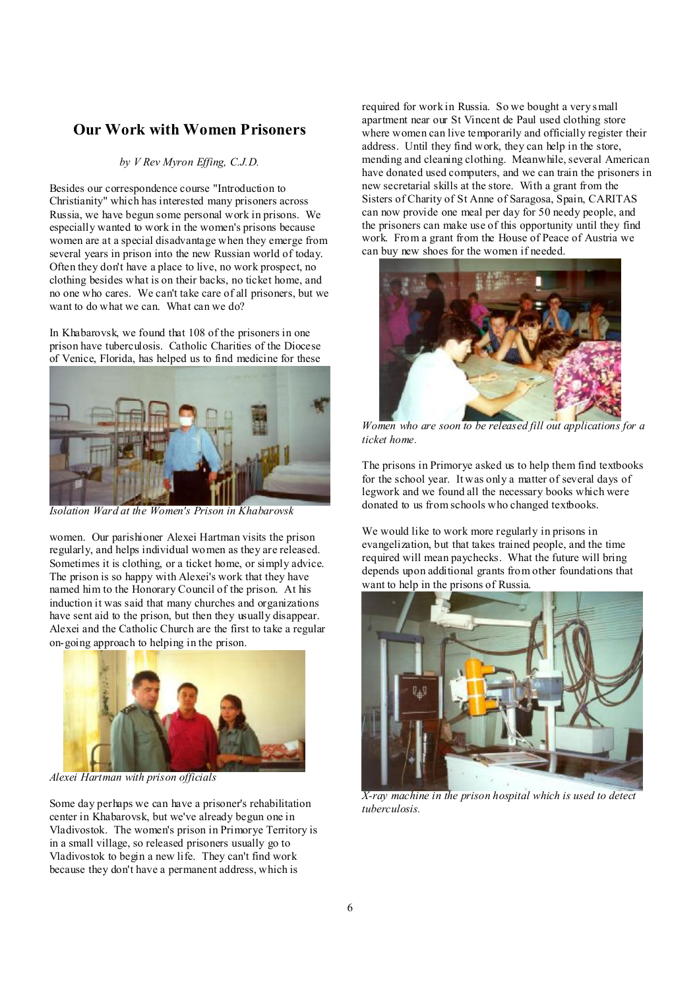## **Our Work with Women Prisoners**

#### *by V Rev Myron Effing, C.J.D.*

Besides our correspondence course "Introduction to Christianity" which has interested many prisoners across Russia, we have begun some personal work in prisons. We especially wanted to work in the women's prisons because women are at a special disadvantage when they emerge from several years in prison into the new Russian world of today. Often they don't have a place to live, no work prospect, no clothing besides what is on their backs, no ticket home, and no one who cares. We can't take care of all prisoners, but we want to do what we can. What can we do?

In Khabarovsk, we found that 108 of the prisoners in one prison have tuberculosis. Catholic Charities of the Diocese of Venice, Florida, has helped us to find medicine for these



*Isolation Ward at the Women's Prison in Khabarovsk* 

women. Our parishioner Alexei Hartman visits the prison regularly, and helps individual women as they are released. Sometimes it is clothing, or a ticket home, or simply advice. The prison is so happy with Alexei's work that they have named him to the Honorary Council of the prison. At his induction it was said that many churches and organizations have sent aid to the prison, but then they usually disappear. Alexei and the Catholic Church are the first to take a regular on-going approach to helping in the prison.



*Alexei Hartman with prison officials* 

Some day perhaps we can have a prisoner's rehabilitation center in Khabarovsk, but we've already begun one in Vladivostok. The women's prison in Primorye Territory is in a small village, so released prisoners usually go to Vladivostok to begin a new life. They can't find work because they don't have a permanent address, which is

required for work in Russia. So we bought a very small apartment near our St Vincent de Paul used clothing store where women can live temporarily and officially register their address. Until they find work, they can help in the store, mending and cleaning clothing. Meanwhile, several American have donated used computers, and we can train the prisoners in new secretarial skills at the store. With a grant from the Sisters of Charity of St Anne of Saragosa, Spain, CARITAS can now provide one meal per day for 50 needy people, and the prisoners can make use of this opportunity until they find work. From a grant from the House of Peace of Austria we can buy new shoes for the women if needed.



 *Women who are soon to be released fill out applications for a ticket home.* 

The prisons in Primorye asked us to help them find textbooks for the school year. It was only a matter of several days of legwork and we found all the necessary books which were donated to us from schools who changed textbooks.

We would like to work more regularly in prisons in evangelization, but that takes trained people, and the time required will mean paychecks. What the future will bring depends upon additional grants from other foundations that want to help in the prisons of Russia.



*X-ray machine in the prison hospital which is used to detect tuberculosis.*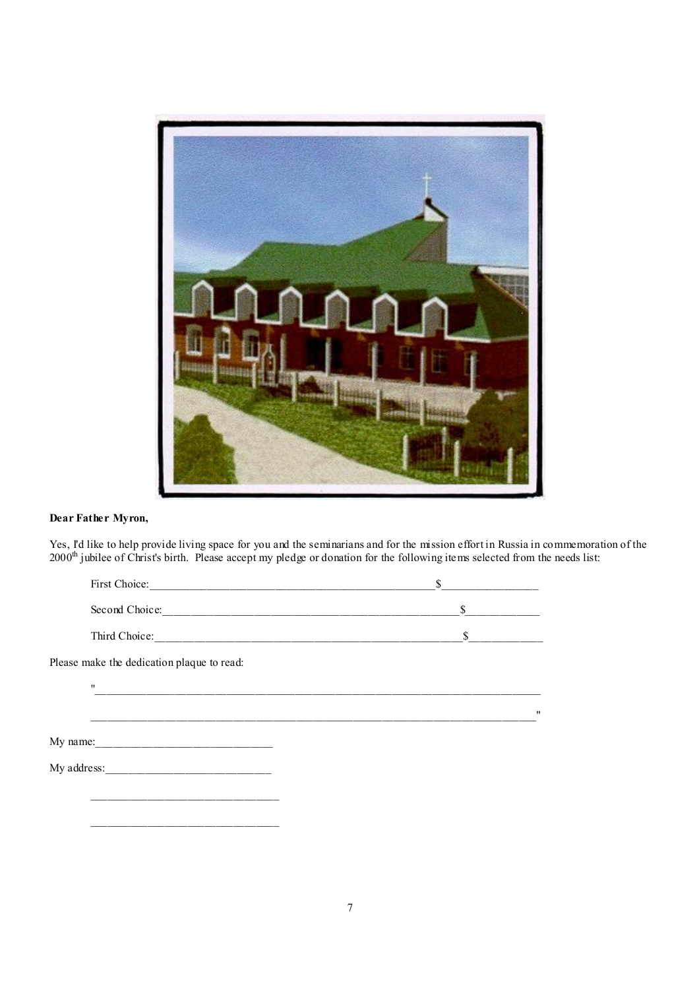

### **Dear Father Myron,**

Yes, I'd like to help provide living space for you and the seminarians and for the mission effort in Russia in commemoration of the 2000<sup>th</sup> jubilee of Christ's birth. Please accept my pledge or donation for the following items selected from the needs list:

|                                            | <sup>S</sup> |                   |
|--------------------------------------------|--------------|-------------------|
|                                            | $\sim$       |                   |
|                                            | \$           |                   |
| Please make the dedication plaque to read: |              |                   |
| $\pmb{\mathsf{H}}$                         |              |                   |
|                                            |              | $^{\prime\prime}$ |
|                                            |              |                   |
|                                            |              |                   |
|                                            |              |                   |
|                                            |              |                   |
|                                            |              |                   |